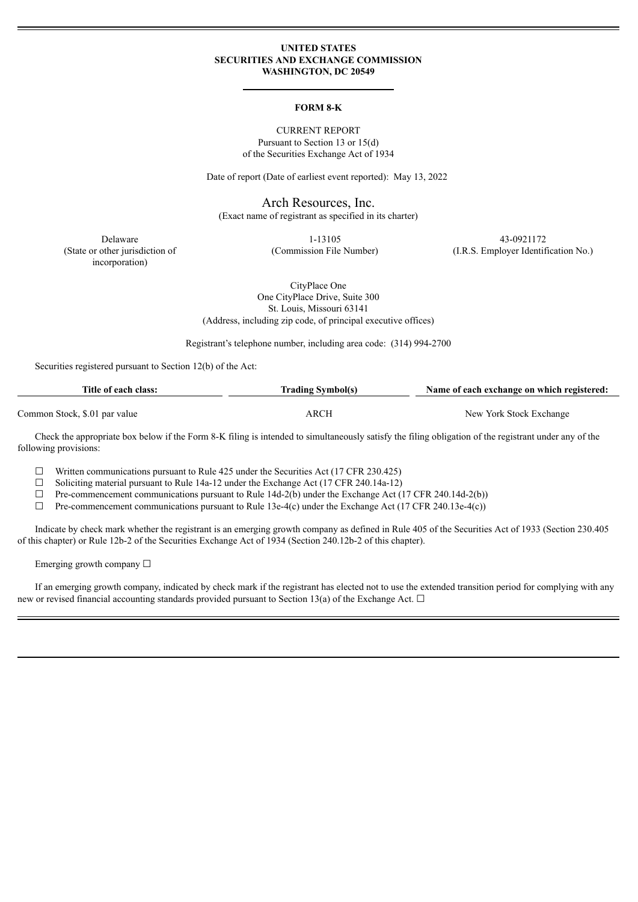### **UNITED STATES SECURITIES AND EXCHANGE COMMISSION WASHINGTON, DC 20549**

#### **FORM 8-K**

CURRENT REPORT Pursuant to Section 13 or 15(d) of the Securities Exchange Act of 1934

Date of report (Date of earliest event reported): May 13, 2022

Arch Resources, Inc.

(Exact name of registrant as specified in its charter)

(State or other jurisdiction of incorporation)

Delaware 1-13105 43-0921172

(Commission File Number) (I.R.S. Employer Identification No.)

CityPlace One One CityPlace Drive, Suite 300 St. Louis, Missouri 63141 (Address, including zip code, of principal executive offices)

Registrant's telephone number, including area code: (314) 994-2700

Securities registered pursuant to Section 12(b) of the Act:

| Title of each class:          | <b>Trading Symbol(s)</b> | Name of each exchange on which registered: |  |
|-------------------------------|--------------------------|--------------------------------------------|--|
| Common Stock, \$.01 par value | ARCH                     | New York Stock Exchange                    |  |

Check the appropriate box below if the Form 8-K filing is intended to simultaneously satisfy the filing obligation of the registrant under any of the following provisions:

 $\Box$  Written communications pursuant to Rule 425 under the Securities Act (17 CFR 230.425)

 $\Box$  Soliciting material pursuant to Rule 14a-12 under the Exchange Act (17 CFR 240.14a-12)

 $\Box$  Pre-commencement communications pursuant to Rule 14d-2(b) under the Exchange Act (17 CFR 240.14d-2(b))

☐ Pre-commencement communications pursuant to Rule 13e-4(c) under the Exchange Act (17 CFR 240.13e-4(c))

Indicate by check mark whether the registrant is an emerging growth company as defined in Rule 405 of the Securities Act of 1933 (Section 230.405 of this chapter) or Rule 12b-2 of the Securities Exchange Act of 1934 (Section 240.12b-2 of this chapter).

Emerging growth company  $\Box$ 

If an emerging growth company, indicated by check mark if the registrant has elected not to use the extended transition period for complying with any new or revised financial accounting standards provided pursuant to Section 13(a) of the Exchange Act.  $\Box$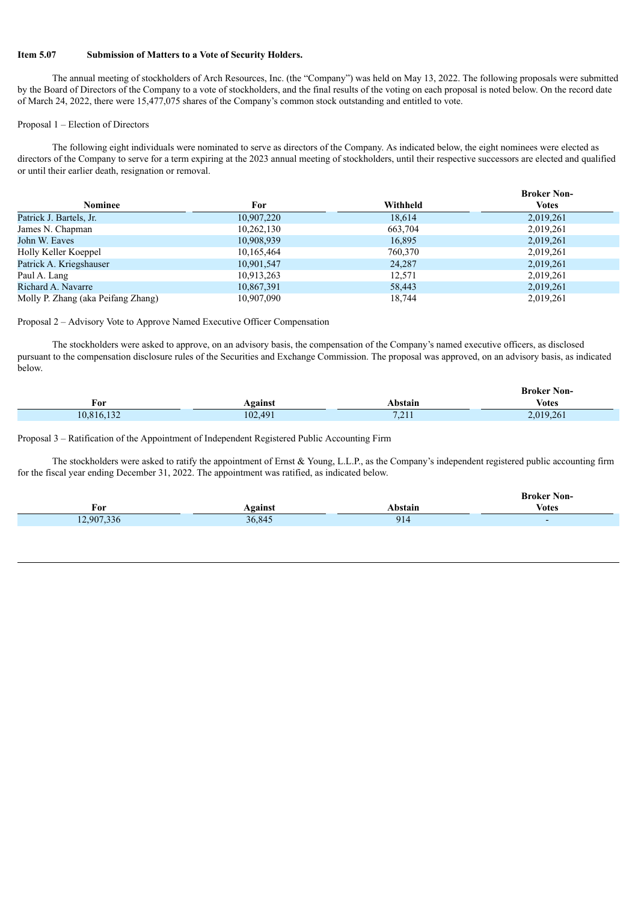## **Item 5.07 Submission of Matters to a Vote of Security Holders.**

The annual meeting of stockholders of Arch Resources, Inc. (the "Company") was held on May 13, 2022. The following proposals were submitted by the Board of Directors of the Company to a vote of stockholders, and the final results of the voting on each proposal is noted below. On the record date of March 24, 2022, there were 15,477,075 shares of the Company's common stock outstanding and entitled to vote.

# Proposal 1 – Election of Directors

The following eight individuals were nominated to serve as directors of the Company. As indicated below, the eight nominees were elected as directors of the Company to serve for a term expiring at the 2023 annual meeting of stockholders, until their respective successors are elected and qualified or until their earlier death, resignation or removal.

|                                    |            |          | <b>Broker Non-</b> |
|------------------------------------|------------|----------|--------------------|
| Nominee                            | For        | Withheld | Votes              |
| Patrick J. Bartels, Jr.            | 10,907,220 | 18,614   | 2,019,261          |
| James N. Chapman                   | 10,262,130 | 663,704  | 2,019,261          |
| John W. Eaves                      | 10,908,939 | 16,895   | 2,019,261          |
| Holly Keller Koeppel               | 10,165,464 | 760,370  | 2,019,261          |
| Patrick A. Kriegshauser            | 10,901,547 | 24,287   | 2,019,261          |
| Paul A. Lang                       | 10,913,263 | 12,571   | 2,019,261          |
| Richard A. Navarre                 | 10,867,391 | 58,443   | 2,019,261          |
| Molly P. Zhang (aka Peifang Zhang) | 10,907,090 | 18,744   | 2,019,261          |

Proposal 2 – Advisory Vote to Approve Named Executive Officer Compensation

The stockholders were asked to approve, on an advisory basis, the compensation of the Company's named executive officers, as disclosed pursuant to the compensation disclosure rules of the Securities and Exchange Commission. The proposal was approved, on an advisory basis, as indicated below.

|            |         |                | <b>Broker Non-</b> |
|------------|---------|----------------|--------------------|
| For        | Against | Abstain        | <b>Votes</b>       |
| 10,816,132 | 102,491 | 7.211<br>, 411 | 2,019,261          |

Proposal 3 – Ratification of the Appointment of Independent Registered Public Accounting Firm

The stockholders were asked to ratify the appointment of Ernst  $\&$  Young, L.L.P., as the Company's independent registered public accounting firm for the fiscal year ending December 31, 2022. The appointment was ratified, as indicated below.

|            |         |         | <b>Broker Non-</b> |
|------------|---------|---------|--------------------|
| For        | Against | Abstain | <b>Votes</b>       |
| 12,907,336 | 36,845  | 914     |                    |